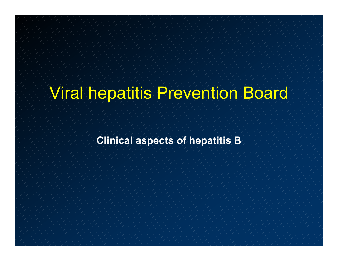# Viral hepatitis Prevention Board

**Clinical aspects of hepatitis B**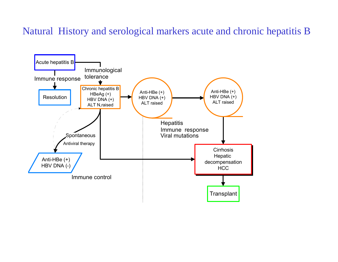#### Natural History and serological markers acute and chronic hepatitis B

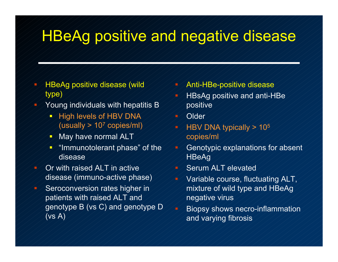# HBeAg positive and negative disease

- HBeAg positive disease (wild type)
- Young individuals with hepatitis B
	- $\rightarrow$  High levels of HBV DNA (usually > 107 copies/ml)
	- 戶 May have normal ALT
	- $\sim$  "Immunotolerant phase" of the disease
- Or with raised ALT in active disease (immuno-active phase)  $\blacktriangleright$  Seroconversion rates higher in patients with raised ALT and genotype B (vs C) and genotype D  $(vs A)$
- Anti-HBe-positive disease HBsAg positive and anti-HBe positive **Older**  HBV DNA typically > 105 copies/ml Genotypic explanations for absent **HBeAg** Serum ALT elevated Variable course, fluctuating ALT, mixture of wild type and HBeAg negative virus Biopsy shows necro-inflammation and varying fibrosis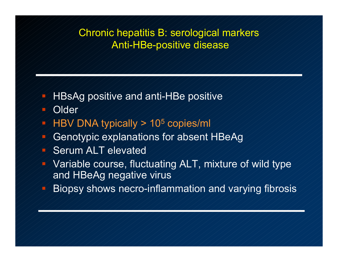#### Chronic hepatitis B: serological markers Anti-HBe-positive disease

- HBsAg positive and anti-HBe positive
- **Older**
- $\blacktriangleright$  HBV DNA typically  $\geq$  10<sup>5</sup> copies/ml
- Genotypic explanations for absent HBeAg
- Serum ALT elevated
- Variable course, fluctuating ALT, mixture of wild type and HBeAg negative virus
- П. Biopsy shows necro-inflammation and varying fibrosis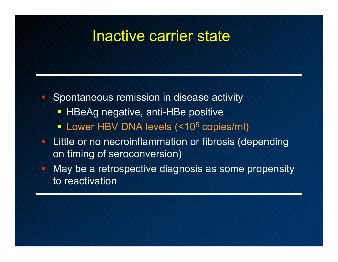#### Inactive carrier state

- Spontaneous remission in disease activity
	- HBeAg negative, anti-HBe positive
	- Lower HBV DNA levels (<10 5 copies/ml)
- Little or no necroinflammation or fibrosis (depending on timing of seroconversion)
	- May be a retrospective diagnosis as some propensity to reactivation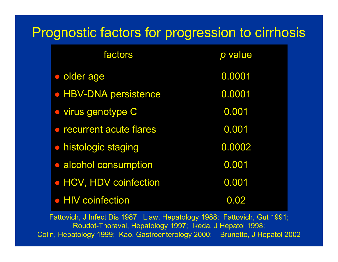### Prognostic factors for progression to cirrhosis

| factors                      | p value |
|------------------------------|---------|
| · older age                  | 0.0001  |
| <b>• HBV-DNA persistence</b> | 0.0001  |
| · virus genotype C           | 0.001   |
| • recurrent acute flares     | 0.001   |
| • histologic staging         | 0.0002  |
| • alcohol consumption        | 0.001   |
| • HCV, HDV coinfection       | 0.001   |
| • HIV coinfection            | 0.02    |

Fattovich, J Infect Dis 1987; Liaw, Hepatology 1988; Fattovich, Gut 1991; Roudot-Thoraval, Hepatology 1997; Ikeda, J Hepatol 1998; Colin, Hepatology 1999; Kao, Gastroenterology 2000; Brunetto, J Hepatol 2002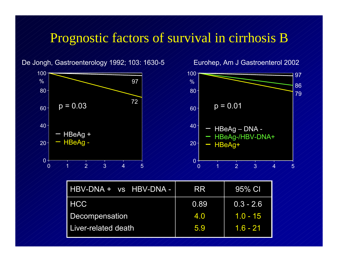#### Prognostic factors of survival in cirrhosis B

100100 97  $\%$  $\%$ 97 868080 7972 $p = 0.03$   $\binom{2}{\frac{2}{\sqrt{3}}}\qquad p = 0.01$  $60$  $60$  $40 40<sup>-</sup>$  $-$  HBeAg  $-$  DNA - $-$  HBeAg + - HBeAg-/HBV-DNA+ HBeAg - 2020HBeAg+  $\sim$  $0^+$ 0 0  $\angle$  1  $\angle$  2 2  $/3$  /  $/4$  /  $/5$ 0  $\angle$  1  $\angle$  12 3  $/$  4  $/$  5

| HBV-DNA + vs HBV-DNA - | RR   | 95% CI      |
|------------------------|------|-------------|
| <b>HCC</b>             | 0.89 | $0.3 - 2.6$ |
| Decompensation         | 4.0  | $1.0 - 15$  |
| Liver-related death    | 5.9  | $1.6 - 21$  |

De Jongh, Gastroenterology 1992; 103: 1630-5

Eurohep, Am J Gastroenterol 2002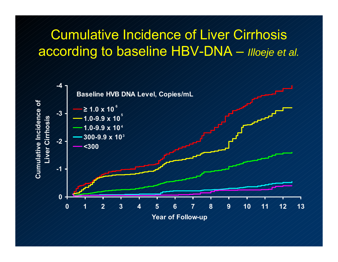### Cumulative Incidence of Liver Cirrhosis according to baseline HBV-DNA – *Illoeje et al.*

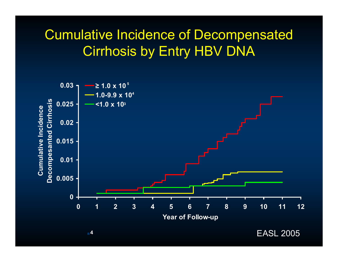### Cumulative Incidence of Decompensated Cirrhosis by Entry HBV DNA



**4**

EASL 2005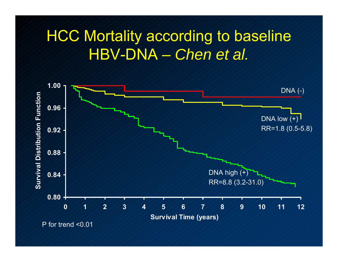# HCC Mortality according to baseline HBV-DNA – *Chen et al.*

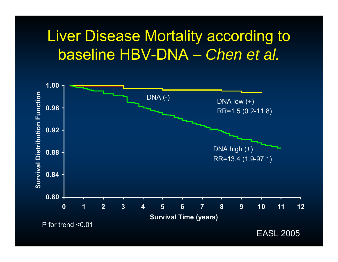# Liver Disease Mortality according to baseline HBV-DNA – *Chen et al.*



EASL 2005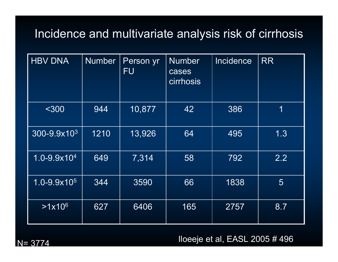#### Incidence and multivariate analysis risk of cirrhosis

| <b>HBV DNA</b>            | <b>Number</b> | Person yr<br><b>FU</b> | <b>Number</b><br>cases<br>cirrhosis | Incidence | <b>RR</b> |
|---------------------------|---------------|------------------------|-------------------------------------|-----------|-----------|
| $300$                     | 944           | 10,877                 | 42                                  | 386       | 1         |
| 300-9.9x10 <sup>3</sup>   | 1210          | 13,926                 | 64                                  | 495       | 1.3       |
| $1.0 - 9.9 \times 10^{4}$ | 649           | 7,314                  | 58                                  | 792       | 2.2       |
| $1.0 - 9.9x105$           | 344           | 3590                   | 66                                  | 1838      | 5         |
| $>1x10^6$                 | 627           | 6406                   | 165                                 | 2757      | 8.7       |

 $N = 3774$ 

Iloeeje et al, EASL 2005 # 496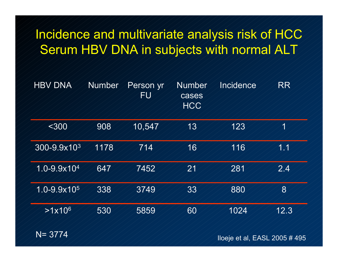### Incidence and multivariate analysis risk of HCC Serum HBV DNA in subjects with normal ALT

| <b>HBV DNA</b>            | Number | Person yr<br>FU | Number<br>cases<br><b>HCC</b> | Incidence | RR    |
|---------------------------|--------|-----------------|-------------------------------|-----------|-------|
| <300                      | 908    | 10,547          | 13                            | 123       | 1     |
| 300-9.9x10 <sup>3</sup>   | 1178   | 714             | 16                            | 116       | 1.1   |
| $1.0 - 9.9 \times 10^{4}$ | 647    | 7452            | 21                            | 281       | 2.4   |
| $1.0 - 9.9 \times 10^5$   | 338    | 3749            | $33\,$                        | 880       | $8\,$ |
| $>1x10^6$                 | 530    | 5859            | 60                            | 1024      | 12.3  |

N= 3774

 Iloeje lloeje et al, EASL 2005 # 495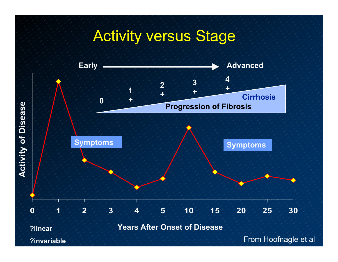# Activity versus Stage

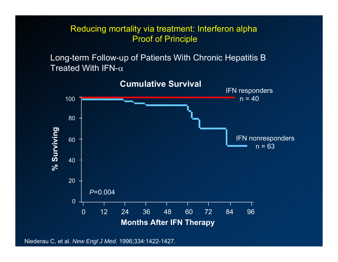Reducing mortality via treatment: Interferon alpha Proof of Principle

Long-term Follow-up of Patients With Chronic Hepatitis B Treated With IFN- $\alpha$ 



**Cumulative Survival**

Niederau C, et al. *New Engl J Med.* 1996;334:1422-1427.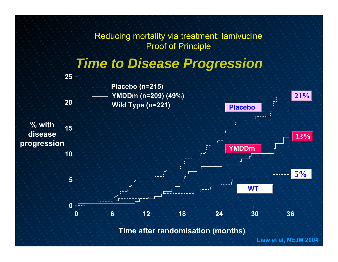Reducing mortality via treatment: lamivudine Proof of Principle

#### *Time to Disease Progression*



**Time after randomisation (months)**

**Liaw et al, NEJM 2004**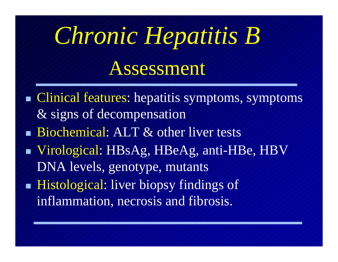# *Chronic Hepatitis B*

# Assessment

Ŧ Clinical features: hepatitis symptoms, symptoms & signs of decompensation Biochemical: ALT & other liver tests Virological: HBsAg, HBeAg, anti-HBe, HBV DNA levels, genotype, mutants Ξ  $\blacktriangleright$  Histological: liver biopsy findings of inflammation, necrosis and fibrosis.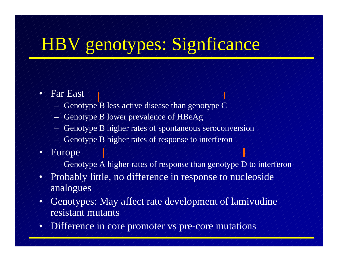# HBV genotypes: Signficance

#### •Far East

- Genotype B less active disease than genotype C
- Genotype B lower prevalence of HBeAg
- Genotype B higher rates of spontaneous seroconversion
- Genotype B higher rates of response to interferon
- •Europe
	- Genotype A higher rates of response than genotype D to interferon
- $\bullet_{\!\scriptscriptstyle\diagup}$ Probably little, no difference in response to nucleoside analogues
- $\bullet$ Genotypes: May affect rate development of lamivudine resistant mutants
- •Difference in core promoter vs pre-core mutations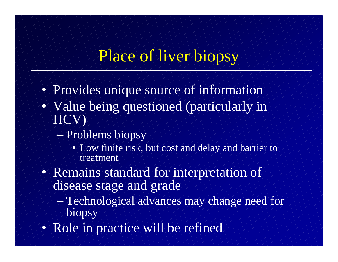# Place of liver biopsy

- Provides unique source of information
- Value being questioned (particularly in HCV)
	- $\mathcal{L}_{\mathcal{A}}$  , where  $\mathcal{L}_{\mathcal{A}}$  is the set of the set of the set of the set of the set of the set of the set of the set of the set of the set of the set of the set of the set of the set of the set of the set of the  $\rightarrow$  Problems biopsy
		- Low finite risk, but cost and delay and barrier to treatment
- Remains standard for interpretation of disease stage and grade
	- $\mathcal{L}_{\mathcal{A}}$  , where  $\mathcal{L}_{\mathcal{A}}$  is the set of the set of the set of the set of the set of the set of the set of the set of the set of the set of the set of the set of the set of the set of the set of the set of the  $\rightarrow$  Technological advances may change need for biopsy
- Role in practice will be refined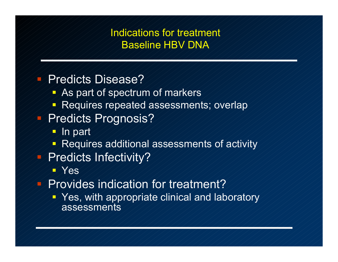#### Indications for treatment Baseline HBV DNA

#### Predicts Disease?

- **As part of spectrum of markers**
- Requires repeated assessments; overlap

#### Predicts Prognosis?

- In part
- **P** Requires additional assessments of activity

#### Predicts Infectivity?

- **EXes**
- Provides indication for treatment?
	- $\blacktriangleright$  Yes, with appropriate clinical and laboratory assessments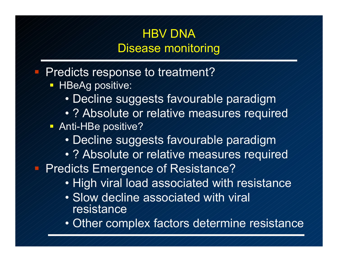#### HBV DNA Disease monitoring

Predicts response to treatment?

- $\neg$  HBeAg positive:
	- Decline suggests favourable paradigm
	- ? Absolute or relative measures required
- Anti-HBe positive?
	- Decline suggests favourable paradigm
	- ? Absolute or relative measures required

Predicts Emergence of Resistance?

- High viral load associated with resistance
- Slow decline associated with viral resistance
- Other complex factors determine resistance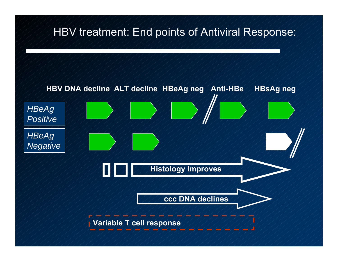#### HBV treatment: End points of Antiviral Response:

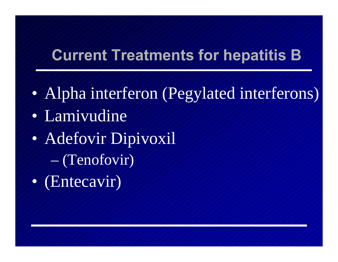# **Current Treatments for hepatitis B**

- $\bullet$ Alpha interferon (Pegylated interferons)
- $\bullet$ Lamivudine
- $\bullet$  Adefovir Dipivoxil
	- (Tenofovir)
- $\bullet$ (Entecavir)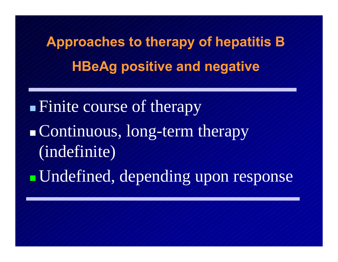**Approaches to therapy of hepatitis B HBeAg positive and negative**

T. Finite course of therapy Continuous, long-term therapy (indefinite) Undefined, depending upon response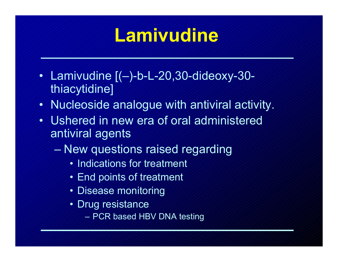# **Lamivudine**

- $\bullet/$  $\bullet$  /  $\measuredangle$ amivudine [(–)-b-L-20,30-dideoxy-30thiacytidine]
- $\bullet$ Nucleoside analogue with antiviral activity.
- •Ushered in new era of oral administered antiviral agents
	- New questions raised regarding
		- Indications for treatment
		- End points of treatment
		- Disease monitoring
		- Drug resistance
			- PCR based HBV DNA testing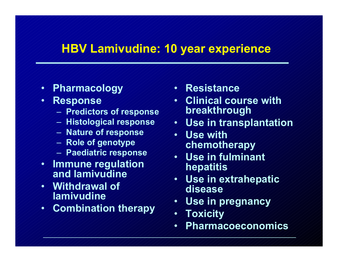#### **HBV Lamivudine: 10 year experience**

- $\bullet$ **Pharmacology**
- $\bullet/$  **Response**
	- **Predictors of response**
	- **Histological response**
	- **Nature of response**
	- $-$  Role of genotype
	- **Paediatric response**
- **Immune regulation and lamivudine**
- **Withdrawal of lamivudine**
- $\bullet/$ **Combination therapy**
- $\bullet$  // **Resistance**
- • **Clinical course with breakthrough**
- **Use in transplantation**
- **Use with chemotherapy**
- **Use in fulminant hepatitis**
- **Use in extrahepatic disease**
- $\blacklozenge$ **Use in pregnancy**
- $\blacklozenge$ **Toxicity**
- $\blacklozenge$ **Pharmacoeconomics**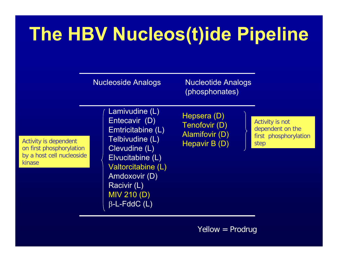# **The HBV Nucleos(t)ide Pipeline**

Nucleoside Analogs **Nucleotide Analogs** (phosphonates)

Activity is dependent on first phosphorylation by a host cell nucleoside kinase

Lamivudine (L) Entecavir (D) Emtricitabine (L) Telbivudine (L) Clevudine (L) Elvucitabine (L) Valtorcitabine (L) Amdoxovir (D) Racivir (L) MIV 210 (D) β-L-FddC (L)

Hepsera (D) Tenofovir (D) Alamifovir (D) Hepavir B (D)

Activity is not dependent on the first phosphorylation step

Yellow = Prodrug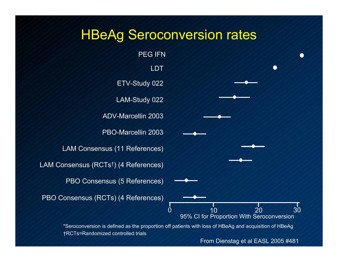#### HBeAg Seroconversion rates



From Dienstag et al EASL 2005 #481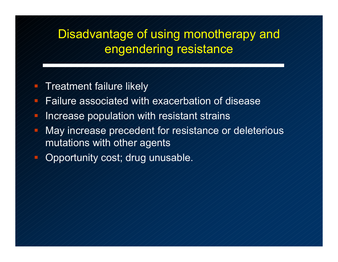#### Disadvantage of using monotherapy and engendering resistance

- Treatment failure likely
- $\blacktriangleright$  Failure associated with exacerbation of disease
- Increase population with resistant strains
- May increase precedent for resistance or deleterious mutations with other agents
- Opportunity cost; drug unusable.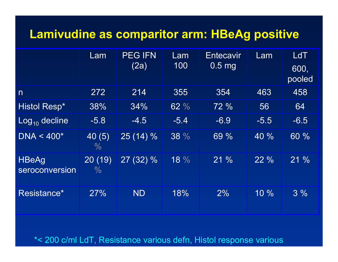#### **Lamivudine as comparitor arm: HBeAg positive**

|                                | Lam            | <b>PEG IFN</b><br>(2a) | Lam<br>100 | <b>Entecavir</b><br>$0.5$ mg | Lam           | <b>LdT</b><br>600,<br>pooled |
|--------------------------------|----------------|------------------------|------------|------------------------------|---------------|------------------------------|
| $\mathsf{n}$                   | 272            | 214                    | 355        | 354                          | 463           | 458                          |
| <b>Histol Resp*</b>            | 38%            | 34%                    | 62 %       | 72 %                         | 56            | 64                           |
| $Log_{10}$ decline             | $-5.8$         | $-4.5$                 | $-5.4$     | $-6.9$                       | $-5.5$        | $-6.5$                       |
| $DNA < 400*$                   | 40(5)<br>$\%$  | $25(14)\%$             | 38 %       | 69 %                         | $\sqrt{40}$ % | 60 %                         |
| <b>HBeAg</b><br>seroconversion | 20(19)<br>$\%$ | $27(32)\%$             | 18 %       | 21%                          | 22%           | 21%                          |
| Resistance*                    | 27%            | <b>ND</b>              | 18%        | 2%                           | 10%           | $3\%$                        |

\*< 200 c/ml LdT, Resistance various defn, Histol response various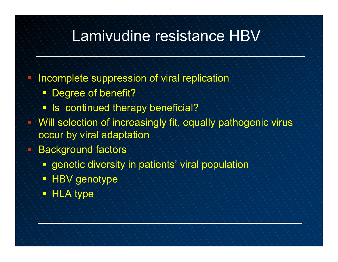# Lamivudine resistance HBV

- Incomplete suppression of viral replication
	- Degree of benefit?
	- **IS** continued therapy beneficial?
- Will selection of increasingly fit, equally pathogenic virus occur by viral adaptation
- Background factors
	- genetic diversity in patients' viral population
	- HBV genotype
	- **HLA type**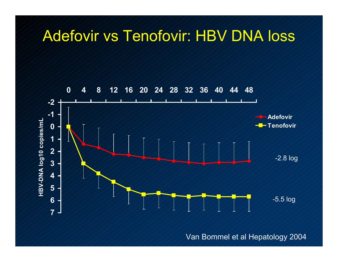### Adefovir vs Tenofovir: HBV DNA loss



Van Bommel et al Hepatology 2004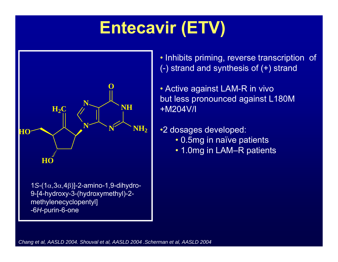# **Entecavir (ETV)**



• Inhibits priming, reverse transcription of (-) strand and synthesis of  $(+)$  strand

- Active against LAM-R in vivo but less pronounced against L180M +M204V/I
- •2 dosages developed:
	- 0.5mg in naïve patients
	- 1.0mg in LAM–R patients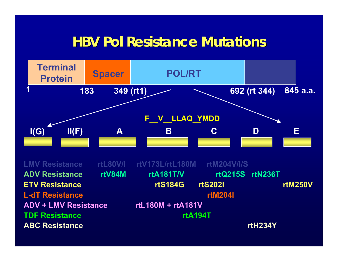### **HBV Pol Resistance Mutations HBV Pol Resistance Mutations**



**LMV Resistance rtL80V/I rtV173L/rtL180M rtM204V/I/SADV Resistance rtV84M rtA181T/V rtQ215S rtN236T ETV Resistance rtS184G rtS202I rtM250VL-dT Resistance rtM204I ADV + LMV Resistance rtL180M + rtA181VTDF Resistance rtA194TABC ResistancertH234Y**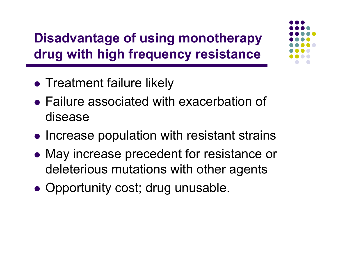**Disadvantage of using monotherapy drug with high frequency resistance**

- Treatment failure likely
- Failure associated with exacerbation of disease
- Increase population with resistant strains
- May increase precedent for resistance or deleterious mutations with other agents
- Opportunity cost; drug unusable.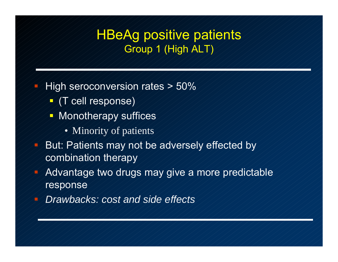#### HBeAg positive patients Group 1 (High ALT)

- High seroconversion rates > 50%
	- $\mathcal{I}/\mathcal{T}$  cell response)
	- Monotherapy suffices
		- Minority of patients
- But: Patients may not be adversely effected by combination therapy
- Advantage two drugs may give a more predictable response
- *Drawbacks: cost and side effects*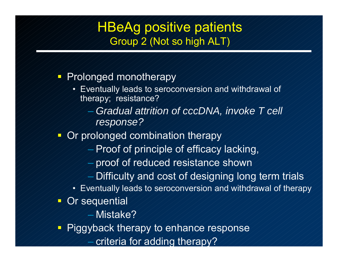#### **HBeAg positive patients** Group 2 (Not so high ALT)

#### $\Box$ Prolonged monotherapy

- Eventually leads to seroconversion and withdrawal of therapy; resistance?
	- *Gradual attrition of cccDNA, invoke T cell response?*
- 后 Or prolonged combination therapy
	- $\neq$  Proof of principle of efficacy lacking,
	- proof of reduced resistance shown
	- Difficulty and cost of designing long term trials
	- Eventually leads to seroconversion and withdrawal of therapy
- $\sqrt{1}$  Or sequential
	- Mistake?
- $\mathbf \Gamma$  Piggyback therapy to enhance response
	- criteria for addin g therapy ?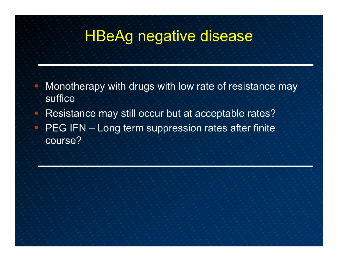# HBeAg negative disease

- Monotherapy with drugs with low rate of resistance may suffice
- Resistance may still occur but at acceptable rates?
- $\blacktriangleright$  PEG IFN  $\blacktriangle$  Long term suppression rates after finite course?